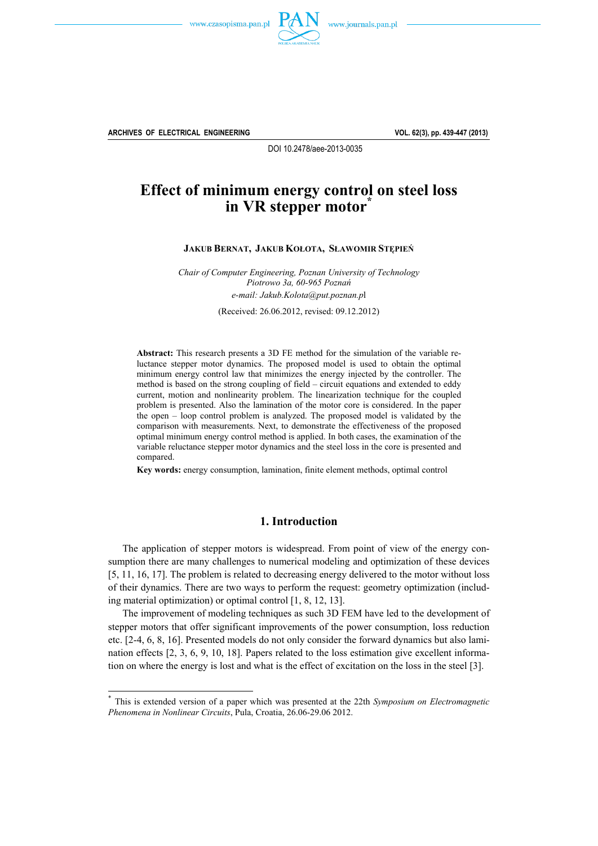



**ARCHIVES OF ELECTRICAL ENGINEERING VOL. 62(3), pp. 439-447 (2013)**

 $\overline{a}$ 

DOI 10.2478/aee-2013-0035

# **Effect of minimum energy control on steel loss in VR stepper motor**

**JAKUB BERNAT, JAKUB KOŁOTA, SŁAWOMIR STĘPIEŃ**

*Chair of Computer Engineering, Poznan University of Technology Piotrowo 3a, 60-965 Poznań e-mail: Jakub.Kolota@put.poznan.p*l

(Received: 26.06.2012, revised: 09.12.2012)

**Abstract:** This research presents a 3D FE method for the simulation of the variable reluctance stepper motor dynamics. The proposed model is used to obtain the optimal minimum energy control law that minimizes the energy injected by the controller. The method is based on the strong coupling of field – circuit equations and extended to eddy current, motion and nonlinearity problem. The linearization technique for the coupled problem is presented. Also the lamination of the motor core is considered. In the paper the open – loop control problem is analyzed. The proposed model is validated by the comparison with measurements. Next, to demonstrate the effectiveness of the proposed optimal minimum energy control method is applied. In both cases, the examination of the variable reluctance stepper motor dynamics and the steel loss in the core is presented and compared.

**Key words:** energy consumption, lamination, finite element methods, optimal control

### **1. Introduction**

 The application of stepper motors is widespread. From point of view of the energy consumption there are many challenges to numerical modeling and optimization of these devices [5, 11, 16, 17]. The problem is related to decreasing energy delivered to the motor without loss of their dynamics. There are two ways to perform the request: geometry optimization (including material optimization) or optimal control [1, 8, 12, 13].

 The improvement of modeling techniques as such 3D FEM have led to the development of stepper motors that offer significant improvements of the power consumption, loss reduction etc. [2-4, 6, 8, 16]. Presented models do not only consider the forward dynamics but also lamination effects [2, 3, 6, 9, 10, 18]. Papers related to the loss estimation give excellent information on where the energy is lost and what is the effect of excitation on the loss in the steel [3].

<sup>\*</sup> This is extended version of a paper which was presented at the 22th *Symposium on Electromagnetic Phenomena in Nonlinear Circuits*, Pula, Croatia, 26.06-29.06 2012.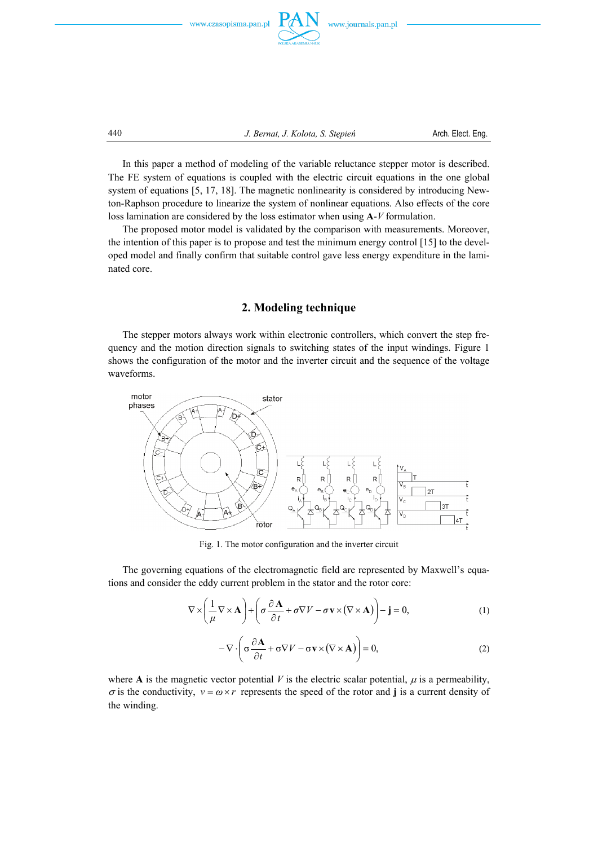



440 *J. Bernat, J. Kołota, S. Stępień* Arch. Elect. Eng.

 In this paper a method of modeling of the variable reluctance stepper motor is described. The FE system of equations is coupled with the electric circuit equations in the one global system of equations [5, 17, 18]. The magnetic nonlinearity is considered by introducing Newton-Raphson procedure to linearize the system of nonlinear equations. Also effects of the core loss lamination are considered by the loss estimator when using **A**-*V* formulation.

 The proposed motor model is validated by the comparison with measurements. Moreover, the intention of this paper is to propose and test the minimum energy control [15] to the developed model and finally confirm that suitable control gave less energy expenditure in the laminated core.

### **2. Modeling technique**

 The stepper motors always work within electronic controllers, which convert the step frequency and the motion direction signals to switching states of the input windings. Figure 1 shows the configuration of the motor and the inverter circuit and the sequence of the voltage waveforms.



Fig. 1. The motor configuration and the inverter circuit

 The governing equations of the electromagnetic field are represented by Maxwell's equations and consider the eddy current problem in the stator and the rotor core:

$$
\nabla \times \left(\frac{1}{\mu} \nabla \times \mathbf{A}\right) + \left(\sigma \frac{\partial \mathbf{A}}{\partial t} + \sigma \nabla V - \sigma \mathbf{v} \times (\nabla \times \mathbf{A})\right) - \mathbf{j} = 0,\tag{1}
$$

$$
-\nabla \cdot \left(\sigma \frac{\partial \mathbf{A}}{\partial t} + \sigma \nabla V - \sigma \mathbf{v} \times (\nabla \times \mathbf{A})\right) = 0, \tag{2}
$$

where **A** is the magnetic vector potential *V* is the electric scalar potential,  $\mu$  is a permeability,  $\sigma$  is the conductivity,  $v = \omega \times r$  represents the speed of the rotor and **j** is a current density of the winding.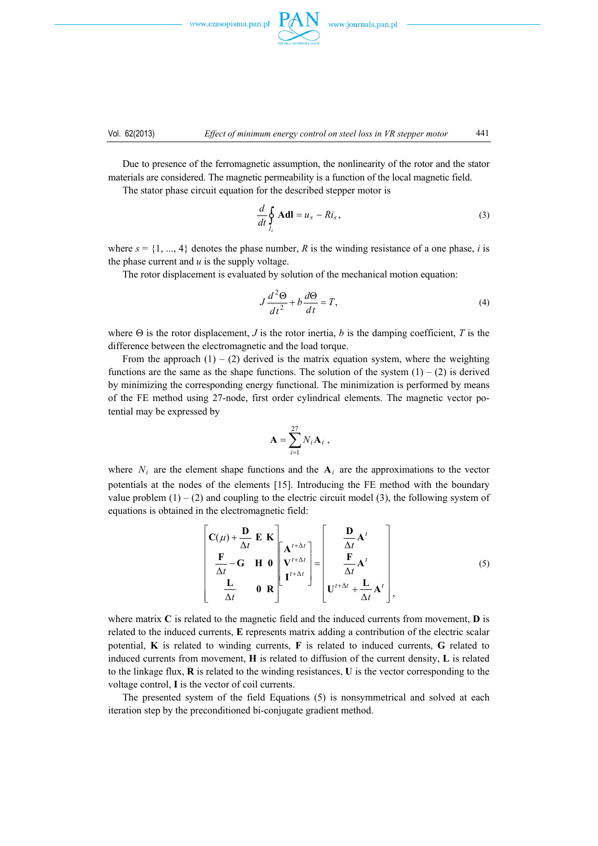



 Due to presence of the ferromagnetic assumption, the nonlinearity of the rotor and the stator materials are considered. The magnetic permeability is a function of the local magnetic field.

The stator phase circuit equation for the described stepper motor is

$$
\frac{d}{dt}\oint_{l_s} \mathbf{A} \mathbf{dl} = u_s - Ri_s, \qquad (3)
$$

where  $s = \{1, ..., 4\}$  denotes the phase number, *R* is the winding resistance of a one phase, *i* is the phase current and *u* is the supply voltage.

The rotor displacement is evaluated by solution of the mechanical motion equation:

$$
J\frac{d^2\Theta}{dt^2} + b\frac{d\Theta}{dt} = T,\tag{4}
$$

where  $\Theta$  is the rotor displacement, *J* is the rotor inertia, *b* is the damping coefficient, *T* is the difference between the electromagnetic and the load torque.

From the approach  $(1) - (2)$  derived is the matrix equation system, where the weighting functions are the same as the shape functions. The solution of the system  $(1) - (2)$  is derived by minimizing the corresponding energy functional. The minimization is performed by means of the FE method using 27-node, first order cylindrical elements. The magnetic vector potential may be expressed by

$$
\mathbf{A} = \sum_{i=1}^{27} N_i \mathbf{A}_i ,
$$

where  $N_i$  are the element shape functions and the  $A_i$  are the approximations to the vector potentials at the nodes of the elements [15]. Introducing the FE method with the boundary value problem  $(1) - (2)$  and coupling to the electric circuit model  $(3)$ , the following system of equations is obtained in the electromagnetic field:

$$
\begin{bmatrix}\n\mathbf{C}(\mu) + \frac{\mathbf{D}}{\Delta t} \mathbf{E} \mathbf{K} \\
\frac{\mathbf{F}}{\Delta t} - \mathbf{G} \mathbf{H} \mathbf{0} \\
\frac{\mathbf{L}}{\Delta t} & \mathbf{0} \mathbf{R}\n\end{bmatrix}\n\begin{bmatrix}\n\mathbf{A}^{t+\Delta t} \\
\mathbf{V}^{t+\Delta t} \\
\mathbf{I}^{t+\Delta t}\n\end{bmatrix} = \begin{bmatrix}\n\frac{\mathbf{D}}{\Delta t} \mathbf{A}^{t} \\
\frac{\mathbf{F}}{\Delta t} \mathbf{A}^{t} \\
\frac{\mathbf{L}}{\Delta t} + \frac{\mathbf{L}}{\Delta t} \mathbf{A}^{t}\n\end{bmatrix},
$$
\n(5)

where matrix **C** is related to the magnetic field and the induced currents from movement, **D** is related to the induced currents, **E** represents matrix adding a contribution of the electric scalar potential, **K** is related to winding currents, **F** is related to induced currents, **G** related to induced currents from movement, **H** is related to diffusion of the current density, **L** is related to the linkage flux, **R** is related to the winding resistances, **U** is the vector corresponding to the voltage control, **I** is the vector of coil currents.

 The presented system of the field Equations (5) is nonsymmetrical and solved at each iteration step by the preconditioned bi-conjugate gradient method.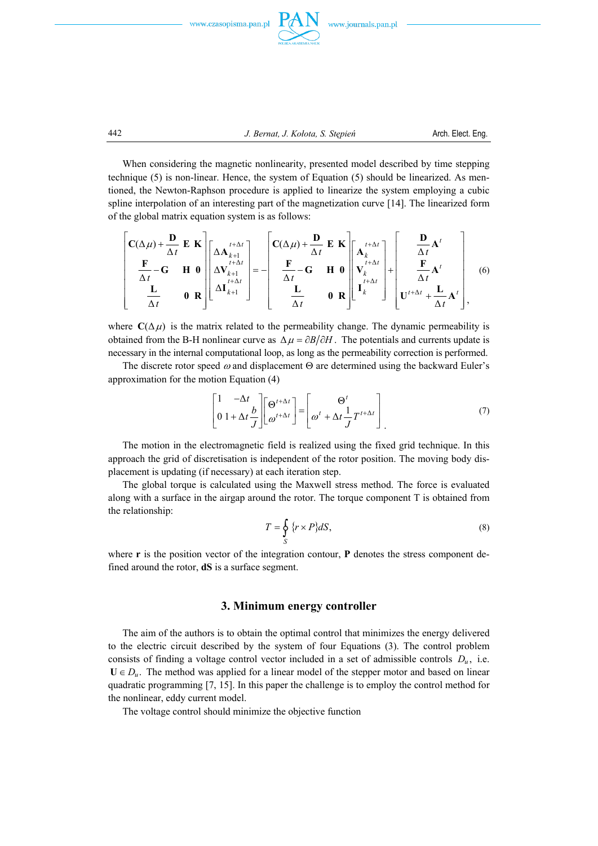





442 *J. Bernat, J. Kołota, S. Stępień* Arch. Elect. Eng.

 When considering the magnetic nonlinearity, presented model described by time stepping technique (5) is non-linear. Hence, the system of Equation (5) should be linearized. As mentioned, the Newton-Raphson procedure is applied to linearize the system employing a cubic spline interpolation of an interesting part of the magnetization curve [14]. The linearized form of the global matrix equation system is as follows:

$$
\begin{bmatrix}\n\mathbf{C}(\Delta\mu) + \frac{\mathbf{D}}{\Delta t} \mathbf{E} \mathbf{K} \\
\frac{\mathbf{F}}{\Delta t} - \mathbf{G} \mathbf{H} \mathbf{0} \\
\frac{\mathbf{L}}{\Delta t} \mathbf{0} \mathbf{R}\n\end{bmatrix}\n\begin{bmatrix}\n\Delta \mathbf{A}_{k+1}^{t+\Delta t} \\
\Delta \mathbf{V}_{k+1}^{t+\Delta t} \\
\Delta \mathbf{I}_{k+1}^{t+\Delta t}\n\end{bmatrix} = -\n\begin{bmatrix}\n\mathbf{C}(\Delta\mu) + \frac{\mathbf{D}}{\Delta t} \mathbf{E} \mathbf{K} \\
\frac{\mathbf{F}}{\Delta t} - \mathbf{G} \mathbf{H} \mathbf{0} \\
\frac{\mathbf{F}}{\Delta t} & \mathbf{0} \mathbf{R}\n\end{bmatrix}\n\begin{bmatrix}\n\mathbf{A}_{k}^{t+\Delta t} \\
\mathbf{V}_{k}^{t+\Delta t} \\
\mathbf{V}_{k}^{t+\Delta t}\n\end{bmatrix} + \n\begin{bmatrix}\n\frac{\mathbf{D}}{\Delta t} \mathbf{A}^{t} \\
\frac{\mathbf{F}}{\Delta t} \mathbf{A}^{t} \\
\frac{\mathbf{F}}{\Delta t} \mathbf{A}^{t}\n\end{bmatrix}
$$
\n(6)

where  $C(\Delta \mu)$  is the matrix related to the permeability change. The dynamic permeability is obtained from the B-H nonlinear curve as  $\Delta \mu = \partial B / \partial H$ . The potentials and currents update is necessary in the internal computational loop, as long as the permeability correction is performed.

The discrete rotor speed  $\omega$  and displacement  $\Theta$  are determined using the backward Euler's approximation for the motion Equation (4)

$$
\begin{bmatrix} 1 & -\Delta t \\ 0 & 1 + \Delta t \frac{b}{J} \end{bmatrix} \begin{bmatrix} \Theta^{t+\Delta t} \\ \omega^{t+\Delta t} \end{bmatrix} = \begin{bmatrix} \Theta^t \\ \omega^t + \Delta t \frac{1}{J} T^{t+\Delta t} \end{bmatrix}
$$
(7)

 The motion in the electromagnetic field is realized using the fixed grid technique. In this approach the grid of discretisation is independent of the rotor position. The moving body displacement is updating (if necessary) at each iteration step.

 The global torque is calculated using the Maxwell stress method. The force is evaluated along with a surface in the airgap around the rotor. The torque component T is obtained from the relationship:

$$
T = \oint_{S} \{r \times P\} dS,\tag{8}
$$

where **r** is the position vector of the integration contour, **P** denotes the stress component defined around the rotor, **dS** is a surface segment.

#### **3. Minimum energy controller**

 The aim of the authors is to obtain the optimal control that minimizes the energy delivered to the electric circuit described by the system of four Equations (3). The control problem consists of finding a voltage control vector included in a set of admissible controls  $D_{\mu}$ , i.e.  $U \in D_u$ . The method was applied for a linear model of the stepper motor and based on linear quadratic programming [7, 15]. In this paper the challenge is to employ the control method for the nonlinear, eddy current model.

The voltage control should minimize the objective function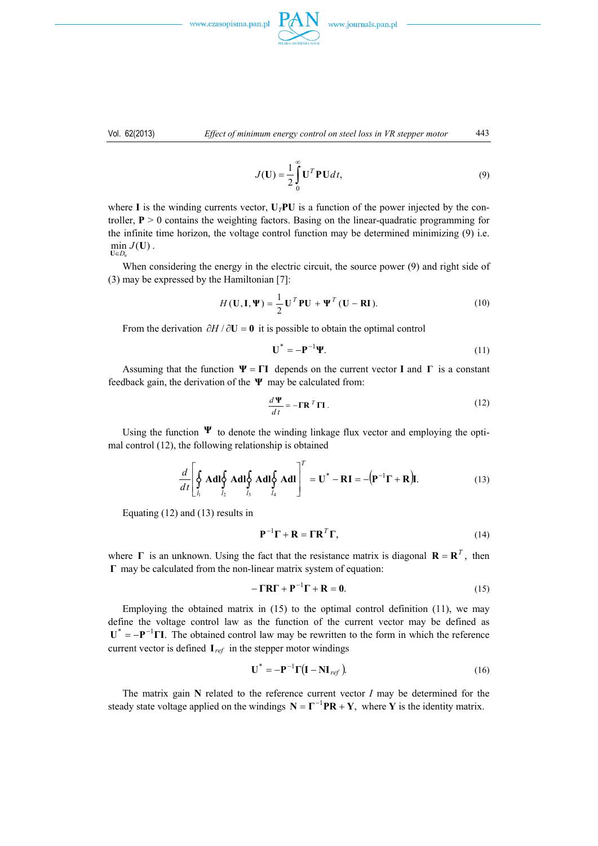www.czasopisma.pan.pl





$$
J(\mathbf{U}) = \frac{1}{2} \int_{0}^{\infty} \mathbf{U}^{T} \mathbf{P} \mathbf{U} dt,
$$
\n(9)

where **I** is the winding currents vector,  $U_T$ PU is a function of the power injected by the controller,  $P > 0$  contains the weighting factors. Basing on the linear-quadratic programming for the infinite time horizon, the voltage control function may be determined minimizing (9) i.e.  $\min_{\mathbf{U}\in D_u} J(\mathbf{U})$ .

 When considering the energy in the electric circuit, the source power (9) and right side of (3) may be expressed by the Hamiltonian [7]:

$$
H(\mathbf{U}, \mathbf{I}, \Psi) = \frac{1}{2} \mathbf{U}^T \mathbf{P} \mathbf{U} + \Psi^T (\mathbf{U} - \mathbf{R} \mathbf{I}).
$$
 (10)

From the derivation  $\partial H / \partial U = 0$  it is possible to obtain the optimal control

$$
\mathbf{U}^* = -\mathbf{P}^{-1}\mathbf{\Psi}.\tag{11}
$$

Assuming that the function  $\Psi = \Gamma I$  depends on the current vector **I** and  $\Gamma$  is a constant feedback gain, the derivation of the **Ψ** may be calculated from:

$$
\frac{d\mathbf{\Psi}}{dt} = -\mathbf{\Gamma} \mathbf{R}^T \mathbf{\Gamma} \mathbf{I} \,. \tag{12}
$$

Using the function  $\Psi$  to denote the winding linkage flux vector and employing the optimal control (12), the following relationship is obtained

$$
\frac{d}{dt}\left[\oint_{l_1} \mathbf{A} \mathbf{d} \mathbf{l} \oint_{l_2} \mathbf{A} \mathbf{d} \mathbf{l} \oint_{l_3} \mathbf{A} \mathbf{d} \mathbf{l} \oint_{l_4} \mathbf{A} \mathbf{d} \mathbf{l}\right]^T = \mathbf{U}^* - \mathbf{R}\mathbf{I} = -(\mathbf{P}^{-1}\mathbf{\Gamma} + \mathbf{R})\mathbf{I}.
$$
 (13)

Equating (12) and (13) results in

$$
\mathbf{P}^{-1}\mathbf{\Gamma} + \mathbf{R} = \mathbf{\Gamma}\mathbf{R}^{T}\mathbf{\Gamma},\tag{14}
$$

where **Γ** is an unknown. Using the fact that the resistance matrix is diagonal  $\mathbf{R} = \mathbf{R}^T$ , then **Γ** may be calculated from the non-linear matrix system of equation:

$$
-\Gamma R\Gamma + P^{-1}\Gamma + R = 0.
$$
 (15)

Employing the obtained matrix in  $(15)$  to the optimal control definition  $(11)$ , we may define the voltage control law as the function of the current vector may be defined as  $U^* = -P^{-1}\Pi$ . The obtained control law may be rewritten to the form in which the reference current vector is defined **I***ref* in the stepper motor windings

$$
\mathbf{U}^* = -\mathbf{P}^{-1}\Gamma(\mathbf{I} - \mathbf{NI}_{ref})
$$
 (16)

 The matrix gain **N** related to the reference current vector *I* may be determined for the steady state voltage applied on the windings  $N = \Gamma^{-1}PR + Y$ , where Y is the identity matrix.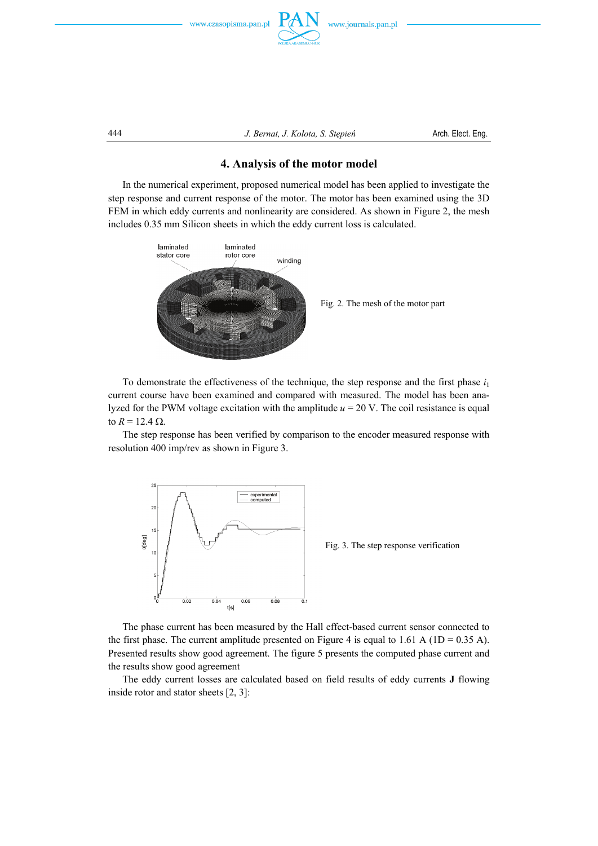



444 *J. Bernat, J. Kołota, S. Stępień* Arch. Elect. Eng.

## **4. Analysis of the motor model**

 In the numerical experiment, proposed numerical model has been applied to investigate the step response and current response of the motor. The motor has been examined using the 3D FEM in which eddy currents and nonlinearity are considered. As shown in Figure 2, the mesh includes 0.35 mm Silicon sheets in which the eddy current loss is calculated.



Fig. 2. The mesh of the motor part

To demonstrate the effectiveness of the technique, the step response and the first phase  $i_1$ current course have been examined and compared with measured. The model has been analyzed for the PWM voltage excitation with the amplitude  $u = 20$  V. The coil resistance is equal to *R* = 12.4 Ω.

 The step response has been verified by comparison to the encoder measured response with resolution 400 imp/rev as shown in Figure 3.



Fig. 3. The step response verification

 The phase current has been measured by the Hall effect-based current sensor connected to the first phase. The current amplitude presented on Figure 4 is equal to 1.61 A ( $1D = 0.35$  A). Presented results show good agreement. The figure 5 presents the computed phase current and the results show good agreement

 The eddy current losses are calculated based on field results of eddy currents **J** flowing inside rotor and stator sheets [2, 3]: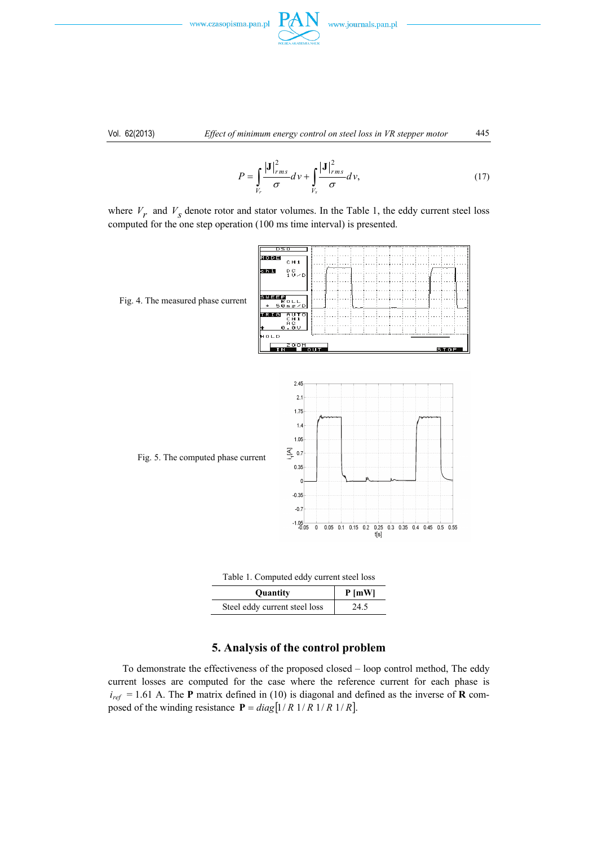



$$
P = \int_{V_r} \frac{|\mathbf{J}|_{rms}^2}{\sigma} dv + \int_{V_s} \frac{|\mathbf{J}|_{rms}^2}{\sigma} dv,
$$
 (17)

where  $V_r$  and  $V_s$  denote rotor and stator volumes. In the Table 1, the eddy current steel loss computed for the one step operation (100 ms time interval) is presented.



Table 1. Computed eddy current steel loss

| Quantity                      | $P$ [mW] |
|-------------------------------|----------|
| Steel eddy current steel loss | 24.5     |

#### **5. Analysis of the control problem**

 To demonstrate the effectiveness of the proposed closed – loop control method, The eddy current losses are computed for the case where the reference current for each phase is  $i_{ref}$  = 1.61 A. The **P** matrix defined in (10) is diagonal and defined as the inverse of **R** composed of the winding resistance  $P = diag[1/R \frac{1}{R} \frac{1}{R} \frac{1}{R} \frac{1}{R}$ .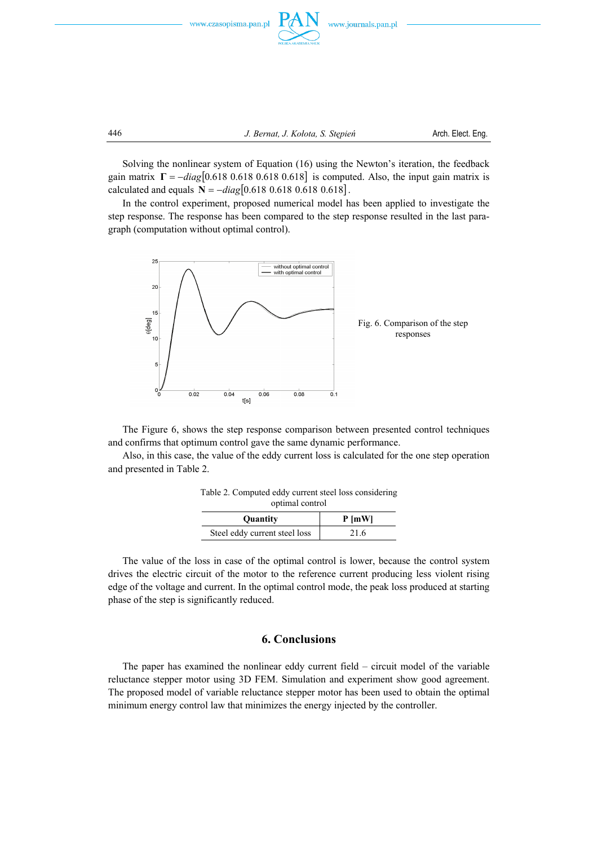



 Solving the nonlinear system of Equation (16) using the Newton's iteration, the feedback gain matrix  $\Gamma = -diag[0.618 \ 0.618 \ 0.618 \ 0.618]$  is computed. Also, the input gain matrix is calculated and equals  $N = -diag[0.618 \ 0.618 \ 0.618 \ 0.618]$ .

 In the control experiment, proposed numerical model has been applied to investigate the step response. The response has been compared to the step response resulted in the last paragraph (computation without optimal control).



 The Figure 6, shows the step response comparison between presented control techniques and confirms that optimum control gave the same dynamic performance.

 Also, in this case, the value of the eddy current loss is calculated for the one step operation and presented in Table 2.

| optimal control               |          |
|-------------------------------|----------|
| Quantity                      | $P$ [mW] |
| Steel eddy current steel loss | 21.6     |

Table 2. Computed eddy current steel loss considering

 The value of the loss in case of the optimal control is lower, because the control system drives the electric circuit of the motor to the reference current producing less violent rising edge of the voltage and current. In the optimal control mode, the peak loss produced at starting phase of the step is significantly reduced.

#### **6. Conclusions**

 The paper has examined the nonlinear eddy current field – circuit model of the variable reluctance stepper motor using 3D FEM. Simulation and experiment show good agreement. The proposed model of variable reluctance stepper motor has been used to obtain the optimal minimum energy control law that minimizes the energy injected by the controller.